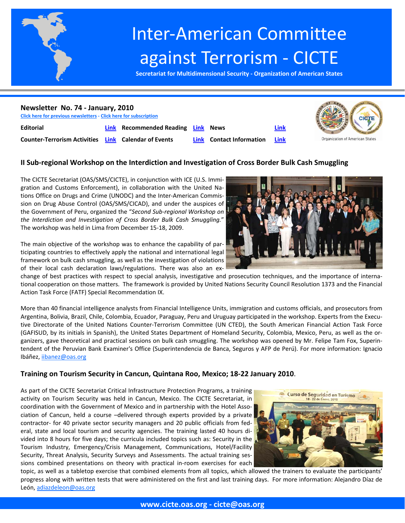

# Inter‐American Committee against Terrorism ‐ CICTE

**Secretariat for Multidimensional Security ‐ Organization of American States**



# **II Sub‐regional Workshop on the Interdiction and Investigation of Cross Border Bulk Cash Smuggling**

The CICTE Secretariat (OAS/SMS/CICTE), in conjunction with ICE (U.S. Immi‐ gration and Customs Enforcement), in collaboration with the United Na‐ tions Office on Drugs and Crime (UNODC) and the Inter‐American Commis‐ sion on Drug Abuse Control (OAS/SMS/CICAD), and under the auspices of the Government of Peru, organized the "*Second Sub‐regional Workshop on the Interdiction and Investigation of Cross Border Bulk Cash Smuggling.*" The workshop was held in Lima from December 15‐18, 2009.

The main objective of the workshop was to enhance the capability of par‐ ticipating countries to effectively apply the national and international legal framework on bulk cash smuggling, as well as the investigation of violations of their local cash declaration laws/regulations. There was also an ex‐

change of best practices with respect to special analysis, investigative and prosecution techniques, and the importance of interna‐ tional cooperation on those matters. The framework is provided by United Nations Security Council Resolution 1373 and the Financial Action Task Force (FATF) Special Recommendation IX.

More than 40 financial intelligence analysts from Financial Intelligence Units, immigration and customs officials, and prosecutors from Argentina, Bolivia, Brazil, Chile, Colombia, Ecuador, Paraguay, Peru and Uruguay participated in the workshop. Experts from the Execu‐ tive Directorate of the United Nations Counter‐Terrorism Committee (UN CTED), the South American Financial Action Task Force (GAFISUD, by its initials in Spanish), the United States Department of Homeland Security, Colombia, Mexico, Peru, as well as the or‐ ganizers, gave theoretical and practical sessions on bulk cash smuggling. The workshop was opened by Mr. Felipe Tam Fox, Superintendent of the Peruvian Bank Examiner's Office (Superintendencia de Banca, Seguros y AFP de Perú). For more information: Ignacio Ibáñez, iibanez@oas.org

# **Training on Tourism Security in Cancun, Quintana Roo, Mexico; 18‐22 January 2010**.

As part of the CICTE Secretariat Critical Infrastructure Protection Programs, a training activity on Tourism Security was held in Cancun, Mexico. The CICTE Secretariat, in coordination with the Government of Mexico and in partnership with the Hotel Association of Cancun, held a course –delivered through experts provided by a private contractor‐ for 40 private sector security managers and 20 public officials from fed‐ eral, state and local tourism and security agencies. The training lasted 40 hours di‐ vided into 8 hours for five days; the curricula included topics such as: Security in the Tourism Industry, Emergency/Crisis Management, Communications, Hotel/Facility Security, Threat Analysis, Security Surveys and Assessments. The actual training sessions combined presentations on theory with practical in‐room exercises for each

topic, as well as a tabletop exercise that combined elements from all topics, which allowed the trainers to evaluate the participants' progress along with written tests that were administered on the first and last training days. For more information: Alejandro Díaz de León, adiazdeleon@oas.org



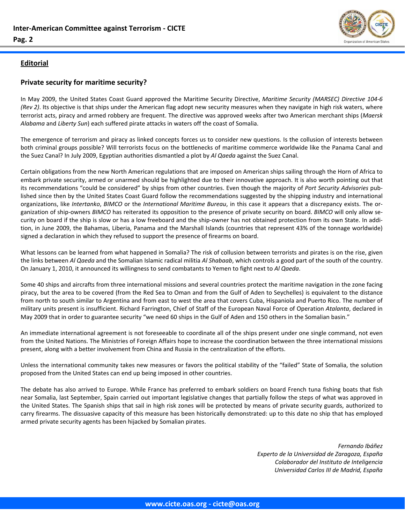<span id="page-1-0"></span>



# **Editorial**

# **Private security for maritime security?**

In May 2009, the United States Coast Guard approved the Maritime Security Directive, *Maritime Security (MARSEC) Directive 104‐6 (Rev 2)*. Its objective is that ships under the American flag adopt new security measures when they navigate in high risk waters, where terrorist acts, piracy and armed robbery are frequent. The directive was approved weeks after two American merchant ships (*Maersk Alabama* and *Liberty Sun*) each suffered pirate attacks in waters off the coast of Somalia.

The emergence of terrorism and piracy as linked concepts forces us to consider new questions. Is the collusion of interests between both criminal groups possible? Will terrorists focus on the bottlenecks of maritime commerce worldwide like the Panama Canal and the Suez Canal? In July 2009, Egyptian authorities dismantled a plot by *Al Qaeda* against the Suez Canal.

Certain obligations from the new North American regulations that are imposed on American ships sailing through the Horn of Africa to embark private security, armed or unarmed should be highlighted due to their innovative approach. It is also worth pointing out that its recommendations "could be considered" by ships from other countries. Even though the majority of *Port Security Advisories* pub‐ lished since then by the United States Coast Guard follow the recommendations suggested by the shipping industry and international organizations, like *Intertanko*, *BIMCO* or the *International Maritime Bureau*, in this case it appears that a discrepancy exists. The or‐ ganization of ship-owners *BIMCO* has reiterated its opposition to the presence of private security on board. *BIMCO* will only allow security on board if the ship is slow or has a low freeboard and the ship‐owner has not obtained protection from its own State. In addi‐ tion, in June 2009, the Bahamas, Liberia, Panama and the Marshall Islands (countries that represent 43% of the tonnage worldwide) signed a declaration in which they refused to support the presence of firearms on board.

What lessons can be learned from what happened in Somalia? The risk of collusion between terrorists and pirates is on the rise, given the links between *Al Qaeda* and the Somalian Islamic radical militia *Al Shabaab*, which controls a good part of the south of the country. On January 1, 2010, it announced its willingness to send combatants to Yemen to fight next to *Al Qaeda*.

Some 40 ships and aircrafts from three international missions and several countries protect the maritime navigation in the zone facing piracy, but the area to be covered (from the Red Sea to Oman and from the Gulf of Aden to Seychelles) is equivalent to the distance from north to south similar to Argentina and from east to west the area that covers Cuba, Hispaniola and Puerto Rico. The number of military units present is insufficient. Richard Farrington, Chief of Staff of the European Naval Force of Operation *Atalanta*, declared in May 2009 that in order to guarantee security "we need 60 ships in the Gulf of Aden and 150 others in the Somalian basin."

An immediate international agreement is not foreseeable to coordinate all of the ships present under one single command, not even from the United Nations. The Ministries of Foreign Affairs hope to increase the coordination between the three international missions present, along with a better involvement from China and Russia in the centralization of the efforts.

Unless the international community takes new measures or favors the political stability of the "failed" State of Somalia, the solution proposed from the United States can end up being imposed in other countries.

The debate has also arrived to Europe. While France has preferred to embark soldiers on board French tuna fishing boats that fish near Somalia, last September, Spain carried out important legislative changes that partially follow the steps of what was approved in the United States. The Spanish ships that sail in high risk zones will be protected by means of private security guards, authorized to carry firearms. The dissuasive capacity of this measure has been historically demonstrated: up to this date no ship that has employed armed private security agents has been hijacked by Somalian pirates.

> *Fernando Ibáñez Experto de la Universidad de Zaragoza, España Colaborador del Instituto de Inteligencia Universidad Carlos III de Madrid, España*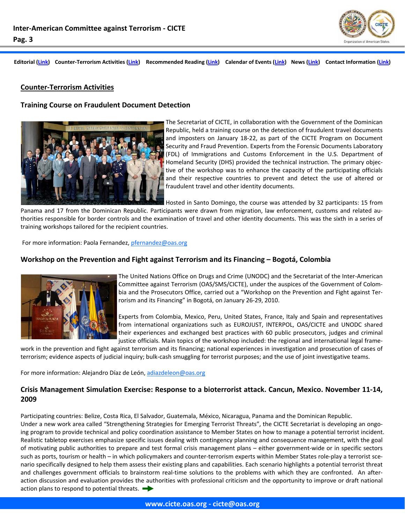

#### <span id="page-2-0"></span>**Counter‐Terrorism Activities**

#### **Training Course on Fraudulent Document Detection**



The Secretariat of CICTE, in collaboration with the Government of the Dominican Republic, held a training course on the detection of fraudulent travel documents and imposters on January 18‐22, as part of the CICTE Program on Document Security and Fraud Prevention. Experts from the Forensic Documents Laboratory (FDL) of Immigrations and Customs Enforcement in the U.S. Department of Homeland Security (DHS) provided the technical instruction. The primary objec‐ tive of the workshop was to enhance the capacity of the participating officials and their respective countries to prevent and detect the use of altered or fraudulent travel and other identity documents.

Hosted in Santo Domingo, the course was attended by 32 participants: 15 from

Panama and 17 from the Dominican Republic. Participants were drawn from migration, law enforcement, customs and related au‐ thorities responsible for border controls and the examination of travel and other identity documents. This was the sixth in a series of training workshops tailored for the recipient countries.

For more information: Paola Fernandez, pfernandez@oas.org

#### **Workshop on the Prevention and Fight against Terrorism and its Financing – Bogotá, Colombia**



The United Nations Office on Drugs and Crime (UNODC) and the Secretariat of the Inter‐American Committee against Terrorism (OAS/SMS/CICTE), under the auspices of the Government of Colom‐ bia and the Prosecutors Office, carried out a "Workshop on the Prevention and Fight against Ter‐ rorism and its Financing" in Bogotá, on January 26‐29, 2010.

Experts from Colombia, Mexico, Peru, United States, France, Italy and Spain and representatives from international organizations such as EUROJUST, INTERPOL, OAS/CICTE and UNODC shared their experiences and exchanged best practices with 60 public prosecutors, judges and criminal justice officials. Main topics of the workshop included: the regional and international legal frame‐

work in the prevention and fight against terrorism and its financing; national experiences in investigation and prosecution of cases of terrorism; evidence aspects of judicial inquiry; bulk‐cash smuggling for terrorist purposes; and the use of joint investigative teams.

For more information: Alejandro Díaz de León, adiazdeleon@oas.org

# **Crisis Management Simulation Exercise: Response to a bioterrorist attack. Cancun, Mexico. November 11‐14, 2009**

Participating countries: Belize, Costa Rica, El Salvador, Guatemala, México, Nicaragua, Panama and the Dominican Republic. Under a new work area called "Strengthening Strategies for Emerging Terrorist Threats", the CICTE Secretariat is developing an ongo‐ ing program to provide technical and policy coordination assistance to Member States on how to manage a potential terrorist incident. Realistic tabletop exercises emphasize specific issues dealing with contingency planning and consequence management, with the goal of motivating public authorities to prepare and test formal crisis management plans – either government‐wide or in specific sectors such as ports, tourism or health – in which policymakers and counter-terrorism experts within Member States role-play a terrorist scenario specifically designed to help them assess their existing plans and capabilities. Each scenario highlights a potential terrorist threat and challenges government officials to brainstorm real-time solutions to the problems with which they are confronted. An afteraction discussion and evaluation provides the authorities with professional criticism and the opportunity to improve or draft national action plans to respond to potential threats.  $\rightarrow$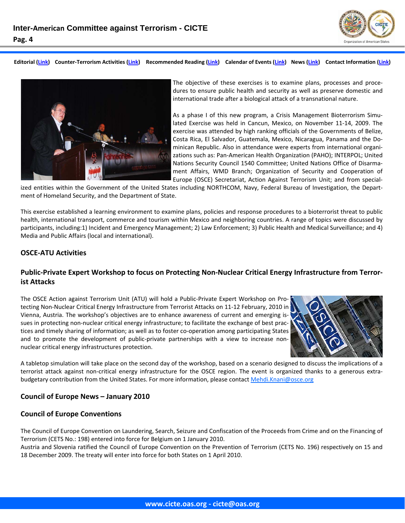



The objective of these exercises is to examine plans, processes and proce‐ dures to ensure public health and security as well as preserve domestic and international trade after a biological attack of a transnational nature.

As a phase I of this new program, a Crisis Management Bioterrorism Simu‐ lated Exercise was held in Cancun, Mexico, on November 11‐14, 2009. The exercise was attended by high ranking officials of the Governments of Belize, Costa Rica, El Salvador, Guatemala, Mexico, Nicaragua, Panama and the Do‐ minican Republic. Also in attendance were experts from international organi‐ zations such as: Pan‐American Health Organization (PAHO); INTERPOL; United Nations Security Council 1540 Committee; United Nations Office of Disarma‐ ment Affairs, WMD Branch; Organization of Security and Cooperation of Europe (OSCE) Secretariat, Action Against Terrorism Unit; and from special‐

ized entities within the Government of the United States including NORTHCOM, Navy, Federal Bureau of Investigation, the Department of Homeland Security, and the Department of State.

This exercise established a learning environment to examine plans, policies and response procedures to a bioterrorist threat to public health, international transport, commerce and tourism within Mexico and neighboring countries. A range of topics were discussed by participants, including:1) Incident and Emergency Management; 2) Law Enforcement; 3) Public Health and Medical Surveillance; and 4) Media and Public Affairs (local and international).

#### **OSCE‐ATU Activities**

# Public-Private Expert Workshop to focus on Protecting Non-Nuclear Critical Energy Infrastructure from Terror**ist Attacks**

The OSCE Action against Terrorism Unit (ATU) will hold a Public‐Private Expert Workshop on Pro‐ tecting Non‐Nuclear Critical Energy Infrastructure from Terrorist Attacks on 11‐12 February, 2010 in Vienna, Austria. The workshop's objectives are to enhance awareness of current and emerging is‐ sues in protecting non-nuclear critical energy infrastructure; to facilitate the exchange of best practices and timely sharing of information; as well as to foster co-operation among participating States and to promote the development of public-private partnerships with a view to increase nonnuclear critical energy infrastructures protection.



A tabletop simulation will take place on the second day of the workshop, based on a scenario designed to discuss the implications of a terrorist attack against non-critical energy infrastructure for the OSCE region. The event is organized thanks to a generous extrabudgetary contribution from the United States. For more information, please contact Mehdi.Knani@osce.org

#### **Council of Europe News – January 2010**

#### **Council of Europe Conventions**

The Council of Europe Convention on Laundering, Search, Seizure and Confiscation of the Proceeds from Crime and on the Financing of Terrorism (CETS No.: 198) entered into force for Belgium on 1 January 2010.

Austria and Slovenia ratified the Council of Europe Convention on the Prevention of Terrorism (CETS No. 196) respectively on 15 and 18 December 2009. The treaty will enter into force for both States on 1 April 2010.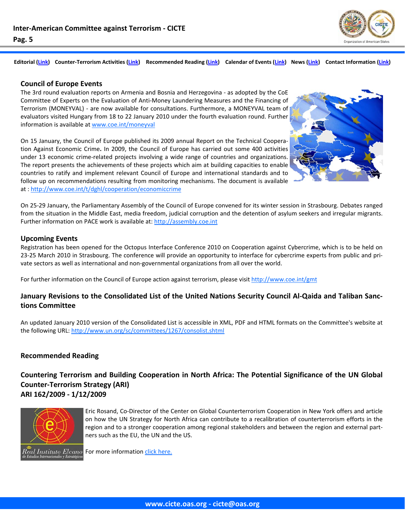

#### <span id="page-4-0"></span>**Council of Europe Events**

The 3rd round evaluation reports on Armenia and Bosnia and Herzegovina ‐ as adopted by the CoE Committee of Experts on the Evaluation of Anti‐Money Laundering Measures and the Financing of Terrorism (MONEYVAL) - are now available for consultations. Furthermore, a MONEYVAL team of evaluators visited Hungary from 18 to 22 January 2010 under the fourth evaluation round. Further information is available at www.coe.int/moneyval

On 15 January, the Council of Europe published its 2009 annual Report on the Technical Coopera‐ tion Against Economic Crime**.** In 2009, the Council of Europe has carried out some 400 activities under 13 economic crime‐related projects involving a wide range of countries and organizations. The report presents the achievements of these projects which aim at building capacities to enable countries to ratify and implement relevant Council of Europe and international standards and to follow up on recommendations resulting from monitoring mechanisms. The document is available at : http://www.coe.int/t/dghl/cooperation/economiccrime



On 25‐29 January, the Parliamentary Assembly of the Council of Europe convened for its winter session in Strasbourg. Debates ranged from the situation in the Middle East, media freedom, judicial corruption and the detention of asylum seekers and irregular migrants. Further information on PACE work is available at: http://assembly.coe.int

#### **Upcoming Events**

Registration has been opened for the Octopus Interface Conference 2010 on Cooperation against Cybercrime, which is to be held on 23-25 March 2010 in Strasbourg. The conference will provide an opportunity to interface for cybercrime experts from public and private sectors as well as international and non‐governmental organizations from all over the world.

For further information on the Council of Europe action against terrorism, please visit http://www.coe.int/gmt

# January Revisions to the Consolidated List of the United Nations Security Council Al-Qaida and Taliban Sanc**tions Committee**

An updated January 2010 version of the Consolidated List is accessible in XML, PDF and HTML formats on the Committee's website at the following URL: http://www.un.org/sc/committees/1267/consolist.shtml

#### **Recommended Reading**

# **Countering Terrorism and Building Cooperation in North Africa: The Potential Significance of the UN Global Counter‐Terrorism Strategy (ARI) ARI 162/2009 ‐ 1/12/2009**



Eric Rosand, Co‐Director of the Center on Global Counterterrorism Cooperation in New York offers and article on how the UN Strategy for North Africa can contribute to a recalibration of counterterrorism efforts in the region and to a stronger cooperation among regional stakeholders and between the region and external part‐ ners such as the EU, the UN and the US.

al Instituto Elcano For more information click [here.](http://www.realinstitutoelcano.org/wps/portal/rielcano_eng/Content?WCM_GLOBAL_CONTEXT=/elcano/elcano_in/zonas_in/international+terrorism/ari162-2009)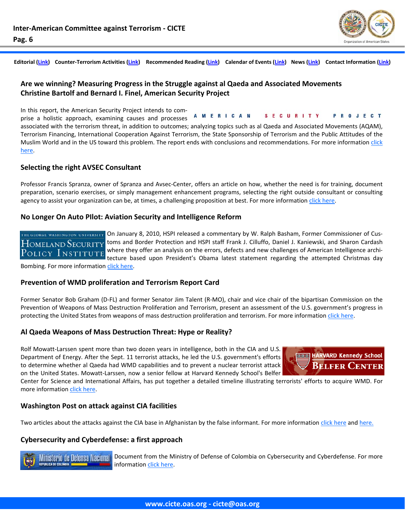

**PROJECT** 

Editorial [\(Link\)](#page--1-0) Counter-Terrorism Activities (Link) Recommended Reading (Link) Calendar of Events (Link) News (Link) Contact Information (Link)

# **Are we winning? Measuring Progress in the Struggle against al Qaeda and Associated Movements Christine Bartolf and Bernard I. Finel, American Security Project**

In this report, the American Security Project intends to com‐

prise a holistic approach, examining causes and processes associated with the terrorism threat, in addition to outcomes; analyzing topics such as al Qaeda and Associated Movements (AQAM), Terrorism Financing, International Cooperation Against Terrorism, the State Sponsorship of Terrorism and the Public Attitudes of the Muslim World and in the US toward this problem. The report ends with conclusions and recommendations. For more information [click](http://www.americansecurityproject.org/resources/2009_AWW.pdf) [here.](http://www.americansecurityproject.org/resources/2009_AWW.pdf)

A M E R I C A N

**SECURITY** 

#### **Selecting the right AVSEC Consultant**

Professor Francis Spranza, owner of Spranza and Avsec-Center, offers an article on how, whether the need is for training, document preparation, scenario exercises, or simply management enhancement programs, selecting the right outside consultant or consulting agency to assist your organization can be, at times, a challenging proposition at best. For more information click [here.](http://www.aviationnews.us/articles.php?art_id=10093&start=1)

#### **No Longer On Auto PIlot: Aviation Security and Intelligence Reform**

гне ововое wasнівотов UNIVERSITY On January 8, 2010, HSPI released a commentary by W. Ralph Basham, Former Commissioner of Cus- $H$ OMELAND  $\overline{S}$ ECURITY toms and Border Protection and HSPI staff Frank J. Cilluffo, Daniel J. Kaniewski, and Sharon Cardash where they offer an analysis on the errors, defects and new challenges of American Intelligence archi-Policy Institute tecture based upon President's Obama latest statement regarding the attempted Christmas day

Bombing. For more information click [here.](http://www.gwumc.edu/hspi/policy/Commentary08_AviationSecurity&IntelReform.pdf)

#### **Prevention of WMD proliferation and Terrorism Report Card**

Former Senator Bob Graham (D‐FL) and former Senator Jim Talent (R‐MO), chair and vice chair of the bipartisan Commission on the Prevention of Weapons of Mass Destruction Proliferation and Terrorism, present an assessment of the U.S. government's progress in protecting the United States from weapons of mass destruction proliferation and terrorism. For more information click [here.](http://www.preventwmd.gov/static/docs/report-card.pdf)

#### **Al Qaeda Weapons of Mass Destruction Threat: Hype or Reality?**

Rolf Mowatt-Larssen spent more than two dozen years in intelligence, both in the CIA and U.S. Department of Energy. After the Sept. 11 terrorist attacks, he led the U.S. government's efforts to determine whether al Qaeda had WMD capabilities and to prevent a nuclear terrorist attack on the United States. Mowatt‐Larssen, now a senior fellow at Harvard Kennedy School's Belfer



Center for Science and International Affairs, has put together a detailed timeline illustrating terrorists' efforts to acquire WMD. For more information click [here.](http://belfercenter.ksg.harvard.edu/files/al-qaeda-wmd-threat.pdf)

#### **Washington Post on attack against CIA facilities**

Two articles about the attacks against the CIA base in Afghanistan by the false informant. For more information click [here](http://www.washingtonpost.com/wp-dyn/content/article/2010/01/11/AR2010011103063.html?wpisrc=nl_politics) and [here.](http://www.washingtonpost.com/wp-dyn/content/article/2010/01/15/AR2010011504068.html)

#### **Cybersecurity and Cyberdefense: a first approach**



**Ministerio de Defensa Nacional** Document from the Ministry of Defense of Colombia on Cybersecurity and Cyberdefense. For more information click [here.](http://www.mindefensa.gov.co/descargas/Documentos_Descargables/notas_interes/Ciberseguridad%20y%20ciberdefensa.pdf)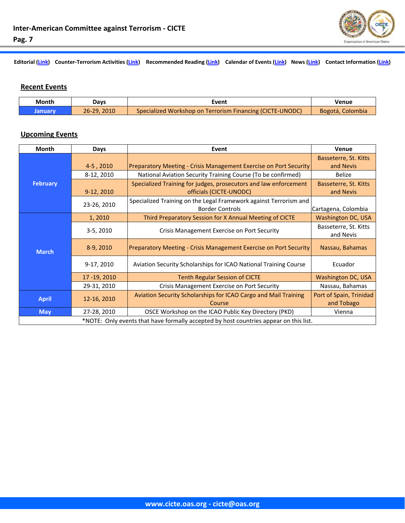# <span id="page-6-0"></span>**Pag. 7**

Editorial [\(Link\)](#page--1-0) Counter-Terrorism Activities (Link) Recommended Reading (Link) Calendar of Events (Link) News (Link) Contact Information (Link)

# **Recent Events**

| Month   | Davs        | Event                                                     | Venue            |
|---------|-------------|-----------------------------------------------------------|------------------|
| "anuary | 26-29, 2010 | Specialized Workshop on Terrorism Financing (CICTE-UNODC) | Bogotá, Colombia |

# **Upcoming Events**

| <b>Month</b>                                                                          | Days        | Event                                                                                       | Venue                              |  |
|---------------------------------------------------------------------------------------|-------------|---------------------------------------------------------------------------------------------|------------------------------------|--|
| <b>February</b>                                                                       | 4-5,2010    | Preparatory Meeting - Crisis Management Exercise on Port Security                           | Basseterre, St. Kitts<br>and Nevis |  |
|                                                                                       | 8-12, 2010  | National Aviation Security Training Course (To be confirmed)                                | <b>Belize</b>                      |  |
|                                                                                       | 9-12, 2010  | Specialized Training for judges, prosecutors and law enforcement<br>officials (CICTE-UNODC) | Basseterre, St. Kitts<br>and Nevis |  |
|                                                                                       | 23-26, 2010 | Specialized Training on the Legal Framework against Terrorism and<br><b>Border Controls</b> | Cartagena, Colombia                |  |
| <b>March</b>                                                                          | 1,2010      | Third Preparatory Session for X Annual Meeting of CICTE                                     | <b>Washington DC, USA</b>          |  |
|                                                                                       | 3-5, 2010   | Crisis Management Exercise on Port Security                                                 | Basseterre, St. Kitts<br>and Nevis |  |
|                                                                                       | 8-9, 2010   | Preparatory Meeting - Crisis Management Exercise on Port Security                           | Nassau, Bahamas                    |  |
|                                                                                       | 9-17, 2010  | Aviation Security Scholarships for ICAO National Training Course                            | Ecuador                            |  |
|                                                                                       | 17-19, 2010 | <b>Tenth Regular Session of CICTE</b>                                                       | <b>Washington DC, USA</b>          |  |
|                                                                                       | 29-31, 2010 | Crisis Management Exercise on Port Security                                                 | Nassau, Bahamas                    |  |
| <b>April</b>                                                                          | 12-16, 2010 | Aviation Security Scholarships for ICAO Cargo and Mail Training                             | Port of Spain, Trinidad            |  |
|                                                                                       |             | Course                                                                                      | and Tobago                         |  |
| <b>May</b>                                                                            | 27-28, 2010 | OSCE Workshop on the ICAO Public Key Directory (PKD)                                        | Vienna                             |  |
| *NOTE: Only events that have formally accepted by host countries appear on this list. |             |                                                                                             |                                    |  |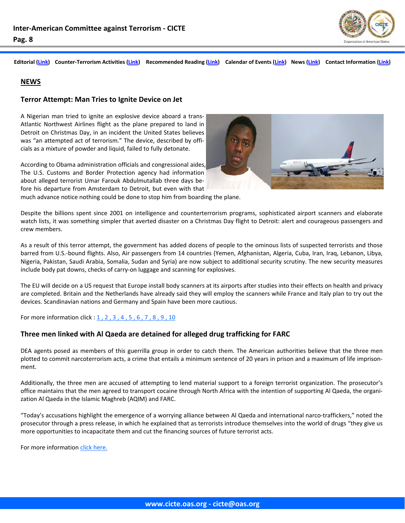

#### <span id="page-7-0"></span>**NEWS**

#### **Terror Attempt: Man Tries to Ignite Device on Jet**

A Nigerian man tried to ignite an explosive device aboard a trans‐ Atlantic Northwest Airlines flight as the plane prepared to land in Detroit on Christmas Day, in an incident the United States believes was "an attempted act of terrorism." The device, described by officials as a mixture of powder and liquid, failed to fully detonate.

According to Obama administration officials and congressional aides, The U.S. Customs and Border Protection agency had information about alleged terrorist Umar Farouk Abdulmutallab three days be‐ fore his departure from Amsterdam to Detroit, but even with that



much advance notice nothing could be done to stop him from boarding the plane.

Despite the billions spent since 2001 on intelligence and counterterrorism programs, sophisticated airport scanners and elaborate watch lists, it was something simpler that averted disaster on a Christmas Day flight to Detroit: alert and courageous passengers and crew members.

As a result of this terror attempt, the government has added dozens of people to the ominous lists of suspected terrorists and those barred from U.S.‐bound flights. Also, Air passengers from 14 countries (Yemen, Afghanistan, Algeria, Cuba, Iran, Iraq, Lebanon, Libya, Nigeria, Pakistan, Saudi Arabia, Somalia, Sudan and Syria) are now subject to additional security scrutiny. The new security measures include body pat downs, checks of carry‐on luggage and scanning for explosives.

The EU will decide on a US request that Europe install body scanners at its airports after studies into their effects on health and privacy are completed. Britain and the Netherlands have already said they will employ the scanners while France and Italy plan to try out the devices. Scandinavian nations and Germany and Spain have been more cautious.

For more information click : [1](http://www.nytimes.com/2009/12/26/us/26plane.html?_r=2&scp=4&sq=detroit%20terrorist&st=cse) , [2](http://gsn.nti.org/gsn/nw_20100113_3105.php) , [3](http://abcnews.go.com/Business/wireStory?id=9470248) , [4](http://www.washingtonpost.com/wp-dyn/content/article/2010/01/07/AR2010010704282.html) , [5](http://gsn.nti.org/gsn/nw_20100104_3328.php) , [6](http://www.nytimes.com/2009/12/31/us/31terror.html?scp=22&sq=detroit%20terrorist&st=cse) , [7](http://www.cnn.com/2010/TRAVEL/01/03/tsa.measures/index.html) , [8](http://abcnews.go.com/Business/wireStory?id=9470248) , [9](http://www.nytimes.com/2010/01/06/us/politics/06obama.html?ref=world) , [10](http://www.nytimes.com/2009/12/27/us/27plane.html)

#### **Three men linked with Al Qaeda are detained for alleged drug trafficking for FARC**

DEA agents posed as members of this guerrilla group in order to catch them. The American authorities believe that the three men plotted to commit narcoterrorism acts, a crime that entails a minimum sentence of 20 years in prison and a maximum of life imprisonment.

Additionally, the three men are accused of attempting to lend material support to a foreign terrorist organization. The prosecutor's office maintains that the men agreed to transport cocaine through North Africa with the intention of supporting Al Qaeda, the organi‐ zation Al Qaeda in the Islamic Maghreb (AQIM) and FARC.

"Today's accusations highlight the emergence of a worrying alliance between Al Qaeda and international narco‐traffickers," noted the prosecutor through a press release, in which he explained that as terrorists introduce themselves into the world of drugs "they give us more opportunities to incapacitate them and cut the financing sources of future terrorist acts.

For more information click [here.](http://www.eltiempo.com/colombia/justicia/detienen-a-3-hombres-vinculados-a-al-qaeda-por-presunto-trafico-de-droga-para-las-farc_6802820-1)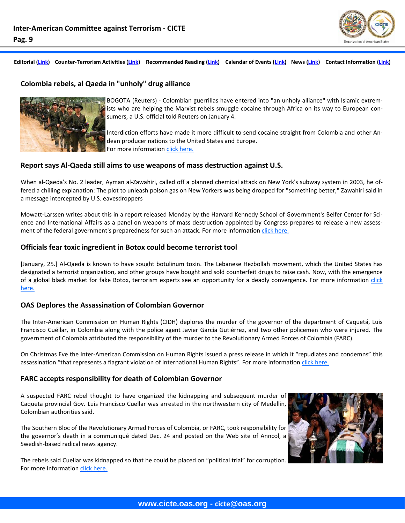

#### **Colombia rebels, al Qaeda in "unholy" drug alliance**



BOGOTA (Reuters) ‐ Colombian guerrillas have entered into "an unholy alliance" with Islamic extrem‐ ists who are helping the Marxist rebels smuggle cocaine through Africa on its way to European con‐ sumers, a U.S. official told Reuters on January 4.

Interdiction efforts have made it more difficult to send cocaine straight from Colombia and other An‐ dean producer nations to the United States and Europe. For more information click [here.](http://www.reuters.com/article/idUKTRE6034L920100104)

#### **Report says Al‐Qaeda still aims to use weapons of mass destruction against U.S.**

When al-Qaeda's No. 2 leader, Ayman al-Zawahiri, called off a planned chemical attack on New York's subway system in 2003, he offered a chilling explanation: The plot to unleash poison gas on New Yorkers was being dropped for "something better," Zawahiri said in a message intercepted by U.S. eavesdroppers

Mowatt-Larssen writes about this in a report released Monday by the Harvard Kennedy School of Government's Belfer Center for Science and International Affairs as a panel on weapons of mass destruction appointed by Congress prepares to release a new assessment of the federal government's preparedness for such an attack. For more information click [here.](http://www.washingtonpost.com/wp-dyn/content/article/2010/01/25/AR2010012502598.html)

#### **Officials fear toxic ingredient in Botox could become terrorist tool**

[January, 25.] Al‐Qaeda is known to have sought botulinum toxin. The Lebanese Hezbollah movement, which the United States has designated a terrorist organization, and other groups have bought and sold counterfeit drugs to raise cash. Now, with the emergence of a global black market for fake Botox, terrorism experts see an opportunity for a deadly convergence. For more information [click](http://www.washingtonpost.com/wp-dyn/content/article/2010/01/24/AR2010012403013.html) [here.](http://www.washingtonpost.com/wp-dyn/content/article/2010/01/24/AR2010012403013.html)

#### **OAS Deplores the Assassination of Colombian Governor**

The Inter‐American Commission on Human Rights (CIDH) deplores the murder of the governor of the department of Caquetá, Luis Francisco Cuéllar, in Colombia along with the police agent Javier García Gutiérrez, and two other policemen who were injured. The government of Colombia attributed the responsibility of the murder to the Revolutionary Armed Forces of Colombia (FARC).

On Christmas Eve the Inter‐American Commission on Human Rights issued a press release in which it "repudiates and condemns" this assassination "that represents a flagrant violation of International Human Rights". For more information click [here.](http://www.180.com.uy/articulo/OEA-deplora-asesinato-de-gobernador-colombiano)

#### **FARC accepts responsibility for death of Colombian Governor**

A suspected FARC rebel thought to have organized the kidnapping and subsequent murder of Caqueta provincial Gov. Luis Francisco Cuellar was arrested in the northwestern city of Medellin, Colombian authorities said.

The Southern Bloc of the Revolutionary Armed Forces of Colombia, or FARC, took responsibility for the governor's death in a communiqué dated Dec. 24 and posted on the Web site of Anncol, a Swedish‐based radical news agency.

The rebels said Cuellar was kidnapped so that he could be placed on "political trial" for corruption. For more information click [here.](http://www.laht.com/article.asp?ArticleId=349919&CategoryId=12393)

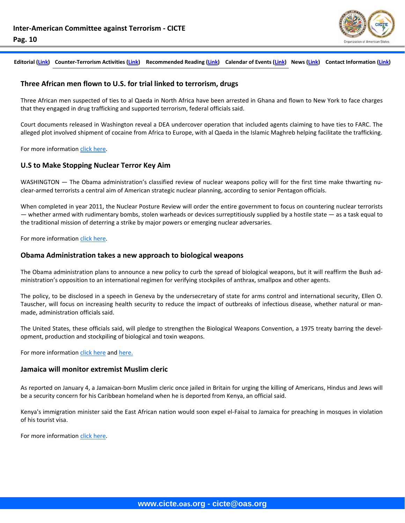# **Pag. 10**

Editorial [\(Link\)](#page--1-0) Counter-Terrorism Activities (Link) Recommended Reading (Link) Calendar of Events (Link) News (Link) Contact Information (Link)

#### **Three African men flown to U.S. for trial linked to terrorism, drugs**

Three African men suspected of ties to al Qaeda in North Africa have been arrested in Ghana and flown to New York to face charges that they engaged in drug trafficking and supported terrorism, federal officials said.

Court documents released in Washington reveal a DEA undercover operation that included agents claiming to have ties to FARC. The alleged plot involved shipment of cocaine from Africa to Europe, with al Qaeda in the Islamic Maghreb helping facilitate the trafficking.

For more information click [here.](http://www.cnn.com/2009/WORLD/africa/12/18/africa.narco.terror.plot/index.html)

#### **U.S to Make Stopping Nuclear Terror Key Aim**

WASHINGTON — The Obama administration's classified review of nuclear weapons policy will for the first time make thwarting nuclear‐armed terrorists a central aim of American strategic nuclear planning, according to senior Pentagon officials.

When completed in year 2011, the Nuclear Posture Review will order the entire government to focus on countering nuclear terrorists — whether armed with rudimentary bombs, stolen warheads or devices surreptitiously supplied by a hostile state — as a task equal to the traditional mission of deterring a strike by major powers or emerging nuclear adversaries.

For more information click [here.](http://www.nytimes.com/2009/12/19/us/politics/19nuke.html?_r=1)

#### **Obama Administration takes a new approach to biological weapons**

The Obama administration plans to announce a new policy to curb the spread of biological weapons, but it will reaffirm the Bush ad‐ ministration's opposition to an international regimen for verifying stockpiles of anthrax, smallpox and other agents.

The policy, to be disclosed in a speech in Geneva by the undersecretary of state for arms control and international security, Ellen O. Tauscher, will focus on increasing health security to reduce the impact of outbreaks of infectious disease, whether natural or man‐ made, administration officials said.

The United States, these officials said, will pledge to strengthen the Biological Weapons Convention, a 1975 treaty barring the devel‐ opment, production and stockpiling of biological and toxin weapons.

For more information click [here](http://www.nytimes.com/2009/12/09/world/09biowar.html) and [here.](http://www.elmundo.es/america/2009/12/31/estados_unidos/1262232861.html)

#### **Jamaica will monitor extremist Muslim cleric**

As reported on January 4, a Jamaican‐born Muslim cleric once jailed in Britain for urging the killing of Americans, Hindus and Jews will be a security concern for his Caribbean homeland when he is deported from Kenya, an official said.

Kenya's immigration minister said the East African nation would soon expel el‐Faisal to Jamaica for preaching in mosques in violation of his tourist visa.

For more information click [here.](http://www.boston.com/news/world/latinamerica/articles/2010/01/04/jamaica_will_monitor_extremist_muslim_cleric/)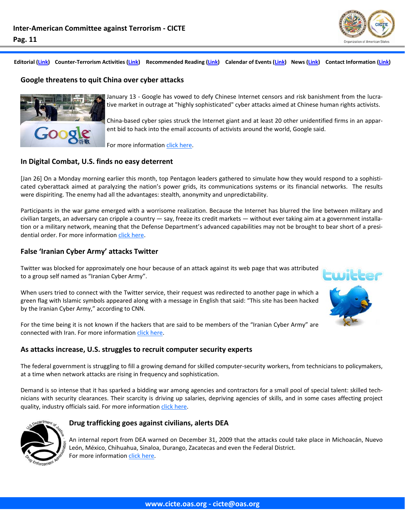

#### **Google threatens to quit China over cyber attacks**



January 13 ‐ Google has vowed to defy Chinese Internet censors and risk banishment from the lucra‐ tive market in outrage at "highly sophisticated" cyber attacks aimed at Chinese human rights activists.

China‐based cyber spies struck the Internet giant and at least 20 other unidentified firms in an appar‐ ent bid to hack into the email accounts of activists around the world, Google said.

For more information click [here.](http://news.yahoo.com/s/afp/20100113/bs_afp/uschinaitcompanyinternetspygoogle)

#### **In Digital Combat, U.S. finds no easy deterrent**

[Jan 26] On a Monday morning earlier this month, top Pentagon leaders gathered to simulate how they would respond to a sophisticated cyberattack aimed at paralyzing the nation's power grids, its communications systems or its financial networks. The results were dispiriting. The enemy had all the advantages: stealth, anonymity and unpredictability.

Participants in the war game emerged with a worrisome realization. Because the Internet has blurred the line between military and civilian targets, an adversary can cripple a country — say, freeze its credit markets — without ever taking aim at a government installa‐ tion or a military network, meaning that the Defense Department's advanced capabilities may not be brought to bear short of a presidential order. For more information click [here.](http://www.nytimes.com/2010/01/26/world/26cyber.html)

#### **False 'Iranian Cyber Army' attacks Twitter**

Twitter was blocked for approximately one hour because of an attack against its web page that was attributed to a group self named as "Iranian Cyber Army".

When users tried to connect with the Twitter service, their request was redirected to another page in which a green flag with Islamic symbols appeared along with a message in English that said: "This site has been hacked by the Iranian Cyber Army," according to CNN.

For the time being it is not known if the hackers that are said to be members of the "Iranian Cyber Army" are connected with Iran. For more information click [here.](http://www.eltiempo.com/enter/actualidad_a/supuesto-ciber-ejercito-de-iran-ataca-a-twitter_6802865-1)

#### **As attacks increase, U.S. struggles to recruit computer security experts**

The federal government is struggling to fill a growing demand for skilled computer‐security workers, from technicians to policymakers, at a time when network attacks are rising in frequency and sophistication.

Demand is so intense that it has sparked a bidding war among agencies and contractors for a small pool of special talent: skilled tech‐ nicians with security clearances. Their scarcity is driving up salaries, depriving agencies of skills, and in some cases affecting project quality, industry officials said. For more information click [here.](http://www.washingtonpost.com/wp-dyn/content/article/2009/12/22/AR2009122203789_2.html?wpisrc=newsletter)



#### **Drug trafficking goes against civilians, alerts DEA**

An internal report from DEA warned on December 31, 2009 that the attacks could take place in Michoacán, Nuevo León, México, Chihuahua, Sinaloa, Durango, Zacatecas and even the Federal District. For more information click [here.](http://www.eluniversal.com.mx/primera/34170.html)

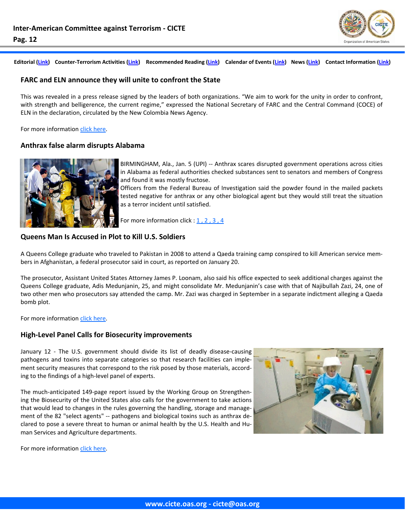

#### **FARC and ELN announce they will unite to confront the State**

This was revealed in a press release signed by the leaders of both organizations. "We aim to work for the unity in order to confront, with strength and belligerence, the current regime," expressed the National Secretary of FARC and the Central Command (COCE) of ELN in the declaration, circulated by the New Colombia News Agency.

For more information click [here.](http://www.eltiempo.com/colombia/justicia/farc-y-eln-anunciaron-que-se-uniran-para-enfrentar-al-estado_6800817-1)

#### **Anthrax false alarm disrupts Alabama**



BIRMINGHAM, Ala., Jan. 5 (UPI) ‐‐ Anthrax scares disrupted government operations across cities in Alabama as federal authorities checked substances sent to senators and members of Congress and found it was mostly fructose.

Officers from the Federal Bureau of Investigation said the powder found in the mailed packets tested negative for anthrax or any other biological agent but they would still treat the situation as a terror incident until satisfied.

For more information click : [1](http://www.upi.com/Business_News/Security-Industry/2010/01/05/Anthrax-false-alarm-disrupts-Alabama/UPI-42701262733489/), [2](http://www.time.com/time/nation/article/0,8599,1951534,00.html), [3](http://www.washingtonpost.com/wp-dyn/content/article/2010/01/04/AR2010010402120.html), [4](http://www.nytimes.com/aponline/2010/01/05/us/AP-US-Alabama-Anthrax-Scare.html?_r=1&scp=1&sq=alabama%20anthrax&st=cse)

### **Queens Man Is Accused in Plot to Kill U.S. Soldiers**

A Queens College graduate who traveled to Pakistan in 2008 to attend a Qaeda training camp conspired to kill American service mem‐ bers in Afghanistan, a federal prosecutor said in court, as reported on January 20.

The prosecutor, Assistant United States Attorney James P. Loonam, also said his office expected to seek additional charges against the Queens College graduate, Adis Medunjanin, 25, and might consolidate Mr. Medunjanin's case with that of Najibullah Zazi, 24, one of two other men who prosecutors say attended the camp. Mr. Zazi was charged in September in a separate indictment alleging a Qaeda bomb plot.

For more information click [here.](http://www.nytimes.com/2010/01/20/nyregion/20zazi.html)

#### **High‐Level Panel Calls for Biosecurity improvements**

January 12 - The U.S. government should divide its list of deadly disease-causing pathogens and toxins into separate categories so that research facilities can imple‐ ment security measures that correspond to the risk posed by those materials, according to the findings of a high‐level panel of experts.

The much‐anticipated 149‐page report issued by the Working Group on Strengthen‐ ing the Biosecurity of the United States also calls for the government to take actions that would lead to changes in the rules governing the handling, storage and manage‐ ment of the 82 "select agents" -- pathogens and biological toxins such as anthrax declared to pose a severe threat to human or animal health by the U.S. Health and Hu‐ man Services and Agriculture departments.



For more information click [here.](http://gsn.nti.org/gsn/nw_20100112_4809.php)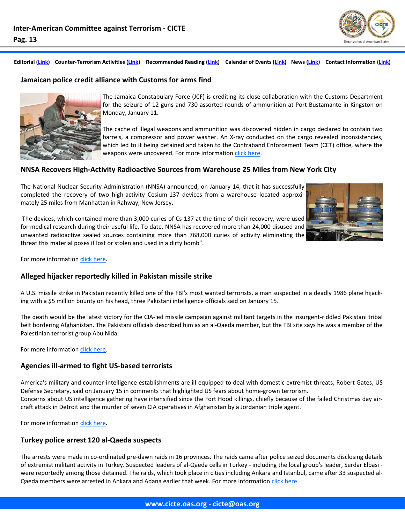

#### **Jamaican police credit alliance with Customs for arms find**



The Jamaica Constabulary Force (JCF) is crediting its close collaboration with the Customs Department for the seizure of 12 guns and 730 assorted rounds of ammunition at Port Bustamante in Kingston on Monday, January 11.

The cache of illegal weapons and ammunition was discovered hidden in cargo declared to contain two barrels, a compressor and power washer. An X-ray conducted on the cargo revealed inconsistencies, which led to it being detained and taken to the Contraband Enforcement Team (CET) office, where the weapons were uncovered. For more information click [here.](http://www.caribbeannetnews.com/news-20852--9-9--.html)

#### **NNSA Recovers High‐Activity Radioactive Sources from Warehouse 25 Miles from New York City**

The National Nuclear Security Administration (NNSA) announced, on January 14, that it has successfully completed the recovery of two high-activity Cesium-137 devices from a warehouse located approximately 25 miles from Manhattan in Rahway, New Jersey.



The devices, which contained more than 3,000 curies of Cs-137 at the time of their recovery, were used for medical research during their useful life. To date, NNSA has recovered more than 24,000 disused and unwanted radioactive sealed sources containing more than 768,000 curies of activity eliminating the threat this material poses if lost or stolen and used in a dirty bomb".

For more information click [here.](http://nnsa.energy.gov/news/2790.htm)

#### **Alleged hijacker reportedly killed in Pakistan missile strike**

A U.S. missile strike in Pakistan recently killed one of the FBI's most wanted terrorists, a man suspected in a deadly 1986 plane hijack‐ ing with a \$5 million bounty on his head, three Pakistani intelligence officials said on January 15.

The death would be the latest victory for the CIA‐led missile campaign against militant targets in the insurgent‐riddled Pakistani tribal belt bordering Afghanistan. The Pakistani officials described him as an al‐Qaeda member, but the FBI site says he was a member of the Palestinian terrorist group Abu Nida.

For more information click [here.](http://www.washingtonpost.com/wp-dyn/content/article/2010/01/15/AR2010011503645.html)

#### **Agencies ill‐armed to fight US‐based terrorists**

America's military and counter-intelligence establishments are ill-equipped to deal with domestic extremist threats, Robert Gates, US Defense Secretary, said on January 15 in comments that highlighted US fears about home-grown terrorism. Concerns about US intelligence gathering have intensified since the Fort Hood killings, chiefly because of the failed Christmas day air‐ craft attack in Detroit and the murder of seven CIA operatives in Afghanistan by a Jordanian triple agent.

For more information click [here.](http://www.ft.com/cms/s/0/840a87a4-023f-11df-8b56-00144feabdc0.html?nclick_check=1)

#### **Turkey police arrest 120 al‐Qaeda suspects**

The arrests were made in co-ordinated pre-dawn raids in 16 provinces. The raids came after police seized documents disclosing details of extremist militant activity in Turkey. Suspected leaders of al‐Qaeda cells in Turkey ‐ including the local group's leader, Serdar Elbasi ‐ were reportedly among those detained. The raids, which took place in cities including Ankara and Istanbul, came after 33 suspected al-Qaeda members were arrested in Ankara and Adana earlier that week. For more information click [here.](http://news.bbc.co.uk/2/hi/europe/8474174.stm)